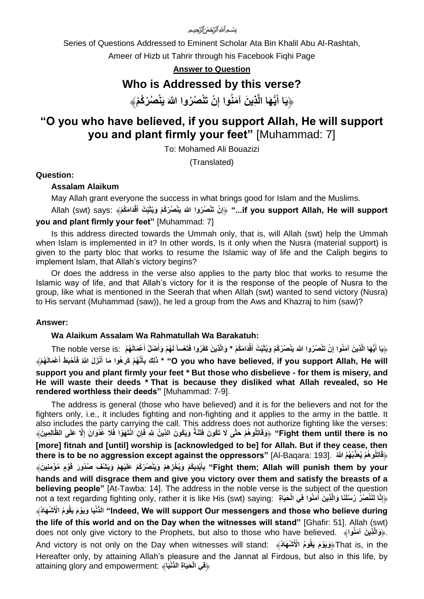بسُم ٱللهُ ٱلزَّحْمَ ٗ ٱلزَّحىمِ

Series of Questions Addressed to Eminent Scholar Ata Bin Khalil Abu Al-Rashtah,

Ameer of Hizb ut Tahrir through his Facebook Fiqhi Page

**Answer to Question**

## **Who is Addressed by this verse?**

﴿يَا أَيُّهَا الَّذِينَ آمَنُوا إِنْ تَنْصُرُوا اللَّهَ يَنْصُرْكُمْ﴾ **ِ َ**

# **"O you who have believed, if you support Allah, He will support you and plant firmly your feet"** [Muhammad: 7]

To: Mohamed Ali Bouazizi

(Translated)

### **Question:**

#### **Assalam Alaikum**

May Allah grant everyone the success in what brings good for Islam and the Muslims.

f you support Allah, He will support..." ﴿إِنْ تَنْصُرُوا اللَّهَ بَنْصُرْكُمْ وَيُثَبِّتُ أَقْدَامَكُمْ﴾ Allah (swt) says: ﴿ **ِ you and plant firmly your feet"** [Muhammad: 7]

Is this address directed towards the Ummah only, that is, will Allah (swt) help the Ummah when Islam is implemented in it? In other words, Is it only when the Nusra (material support) is given to the party bloc that works to resume the Islamic way of life and the Caliph begins to implement Islam, that Allah's victory begins?

Or does the address in the verse also applies to the party bloc that works to resume the Islamic way of life, and that Allah's victory for it is the response of the people of Nusra to the group, like what is mentioned in the Seerah that when Allah (swt) wanted to send victory (Nusra) to His servant (Muhammad (saw)), he led a group from the Aws and Khazraj to him (saw)?

#### **Answer:**

#### **Wa Alaikum Assalam Wa Rahmatullah Wa Barakatuh:**

هِيَا أَيُّهَا الَّذِينَ آمَنُوا إِنْ تَنْصُرُوا اللَّهَ يَنْصُرُكُمْ وَيُثَبِّتْ أَقْدَامَكُمْ \* وَالَّذِينَ كَفَرُوا فَتَعْساً لَهُمْ وَأَضَلَّ أَعْمَالَهُمْ :The noble verse is: وَالَّذِينَ كَفَرُوا فَتَعْساً لَ **َ َ ِ َ** O you who have believed, if you support Allah, He will" \* ذَلِكَ بِأَنَّهُمْ كَرِهُوا مَا أَنْزَلَ اللَهُ فَأَحْبَطَ أَعْمَالَهُمْ **َ َ َ support you and plant firmly your feet \* But those who disbelieve - for them is misery, and He will waste their deeds \* That is because they disliked what Allah revealed, so He rendered worthless their deeds"** [Muhammad: 7-9].

The address is general (those who have believed) and it is for the believers and not for the fighters only, i.e., it includes fighting and non-fighting and it applies to the army in the battle. It also includes the party carrying the call. This address does not authorize fighting like the verses: Fight them until there is no" ﴿وَقَاتِلُوهُمْ حَتَّى لَا تَكُونَ فِتْنَةٌ وَيَكُونَ الذِّينُ لِلَّهِ ۖ فَإِنْ انْتَهَوْا فَلَا غُدُوَانَ إِلَّا عَلَى الظَّالِمِينَ﴾ **ِ [more] fitnah and [until] worship is [acknowledged to be] for Allah. But if they cease, then there is to be no aggression except against the oppressors"** [Al-Baqara: 193]. **ْب ُه ُم ََّّللاُ اتِلُو ُه ْم يُسَِذّ** ﴿**قَ** Fight them; Allah will punish them by your" بِأَيْدِيكُمْ وَيُخْزِهِمْ وَيَنْصُرُكُمْ عَلَيْهِمْ وَيَتْنْفِ صُدُورَ قَوْمٍ مُؤْمِنِينَ﴾ **َ hands and will disgrace them and give you victory over them and satisfy the breasts of a believing people"** [At-Tawba: 14]. The address in the noble verse is the subject of the question not a text regarding fighting only, rather it is like His (swt) saying: ﴿إِنَّا لَنَنْصُرُ رُسُلَنَا وَالَّذِينَ آمَنُوا فِي الْحَيَاةِ ) **ْش َها ُد during believe who those and messengers Our support will We ,Indeed "ال ُّد** ﴾ **ْنيَا َويَ ْو َم يَقُو ُم ا ْْلَ the life of this world and on the Day when the witnesses will stand"** [Ghafir: 51]. Allah (swt) does not only give victory to the Prophets, but also to those who have believed. ﴾**واُمنَ آ نَ ذيِ** .﴿**َوالَّ** And victory is not only on the Day when witnesses will stand: ﴾**دُ هاَ شْ** the in ,is That﴿**َويَ ْو َم يَقُو ُم ا ْْلَ** Hereafter only, by attaining Allah's pleasure and the Jannat al Firdous, but also in this life, by attaining glory and empowerment: ﴿**فِي** الْحَيَاةِ الدُّنْدِيَا﴾